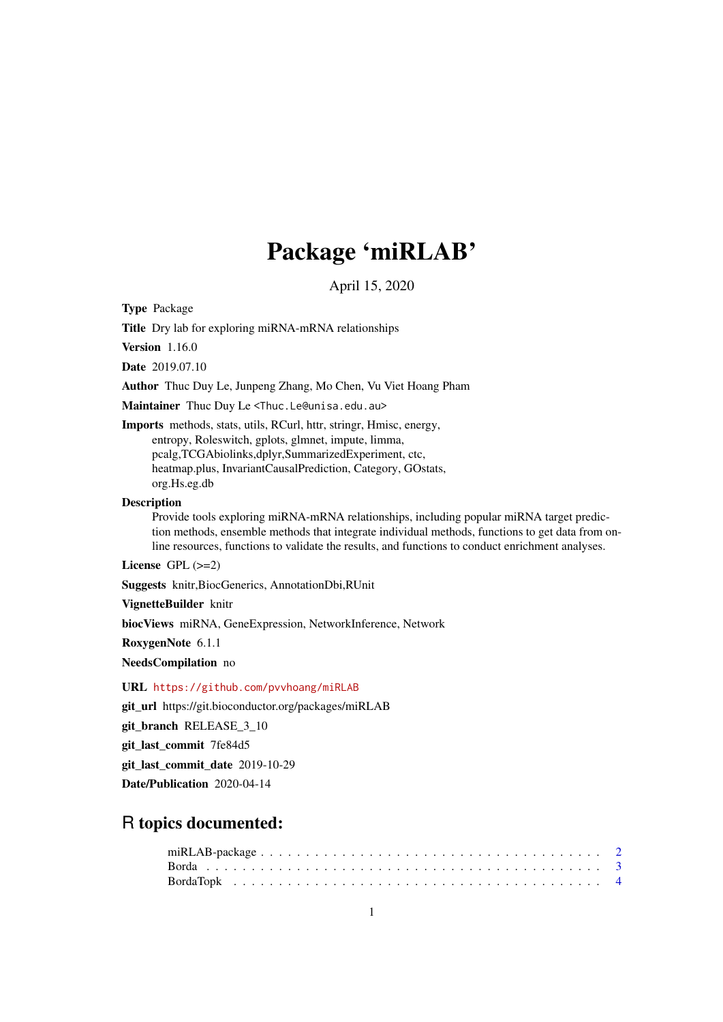# Package 'miRLAB'

April 15, 2020

Type Package

Title Dry lab for exploring miRNA-mRNA relationships

Version 1.16.0

Date 2019.07.10

Author Thuc Duy Le, Junpeng Zhang, Mo Chen, Vu Viet Hoang Pham

Maintainer Thuc Duy Le <Thuc.Le@unisa.edu.au>

Imports methods, stats, utils, RCurl, httr, stringr, Hmisc, energy, entropy, Roleswitch, gplots, glmnet, impute, limma, pcalg,TCGAbiolinks,dplyr,SummarizedExperiment, ctc, heatmap.plus, InvariantCausalPrediction, Category, GOstats, org.Hs.eg.db

#### Description

Provide tools exploring miRNA-mRNA relationships, including popular miRNA target prediction methods, ensemble methods that integrate individual methods, functions to get data from online resources, functions to validate the results, and functions to conduct enrichment analyses.

License GPL (>=2)

Suggests knitr,BiocGenerics, AnnotationDbi,RUnit

VignetteBuilder knitr

biocViews miRNA, GeneExpression, NetworkInference, Network

RoxygenNote 6.1.1

NeedsCompilation no

URL <https://github.com/pvvhoang/miRLAB>

git\_url https://git.bioconductor.org/packages/miRLAB

git\_branch RELEASE\_3\_10

git\_last\_commit 7fe84d5

git last commit date 2019-10-29

Date/Publication 2020-04-14

# R topics documented: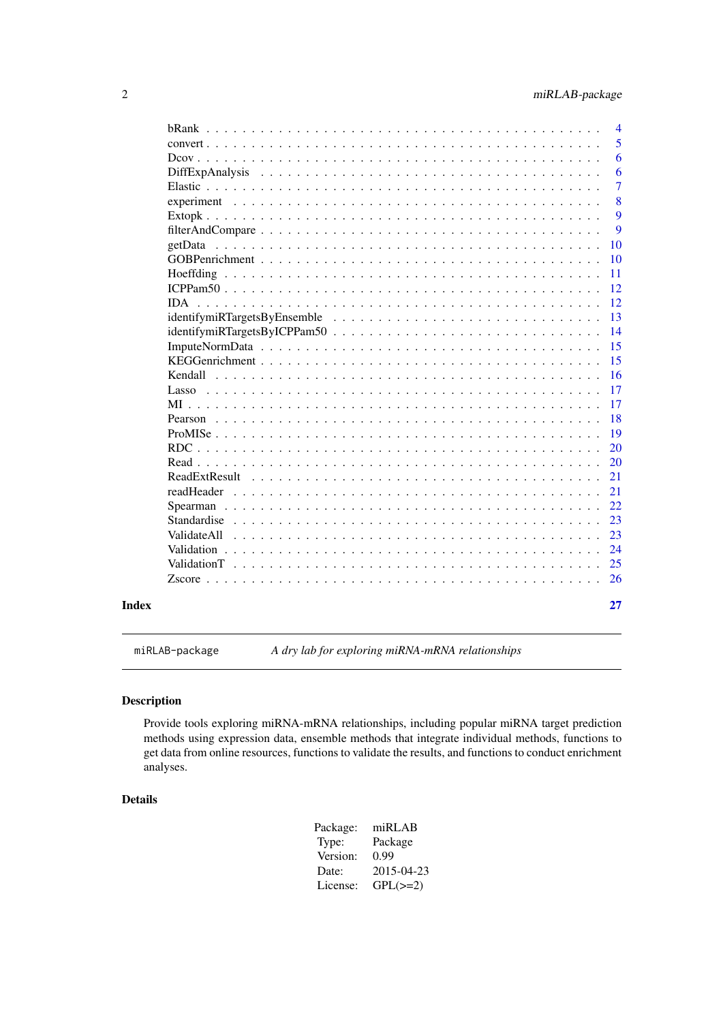<span id="page-1-0"></span>

|                                                                                                                                                                                                                                | $\overline{4}$ |
|--------------------------------------------------------------------------------------------------------------------------------------------------------------------------------------------------------------------------------|----------------|
|                                                                                                                                                                                                                                | 5              |
|                                                                                                                                                                                                                                | 6              |
| DiffExpAnalysis                                                                                                                                                                                                                | 6              |
|                                                                                                                                                                                                                                | $\overline{7}$ |
|                                                                                                                                                                                                                                | 8              |
|                                                                                                                                                                                                                                | 9              |
|                                                                                                                                                                                                                                | 9              |
|                                                                                                                                                                                                                                | 10             |
|                                                                                                                                                                                                                                | 10             |
|                                                                                                                                                                                                                                | 11             |
|                                                                                                                                                                                                                                | 12             |
|                                                                                                                                                                                                                                | 12             |
|                                                                                                                                                                                                                                | 13             |
|                                                                                                                                                                                                                                | 14             |
|                                                                                                                                                                                                                                | 15             |
|                                                                                                                                                                                                                                | 15             |
| Kendall $\ldots$                                                                                                                                                                                                               | 16             |
| $Lasso$ ,                                                                                                                                                                                                                      | 17             |
|                                                                                                                                                                                                                                | 17             |
|                                                                                                                                                                                                                                | 18             |
|                                                                                                                                                                                                                                | 19             |
| $RDC \ldots \ldots$                                                                                                                                                                                                            | 20             |
|                                                                                                                                                                                                                                | 20             |
| ReadExtResult                                                                                                                                                                                                                  | 21             |
| readHeader                                                                                                                                                                                                                     | 21             |
| Spearman                                                                                                                                                                                                                       | 22             |
| Standardise                                                                                                                                                                                                                    | 23             |
| Validate All                                                                                                                                                                                                                   | 23             |
|                                                                                                                                                                                                                                | 24             |
| Validation T received a series and contained a series and contained a series and contained a series of the series of the series of the series of the series of the series of the series of the series of the series of the ser | 25             |
|                                                                                                                                                                                                                                | 26             |
|                                                                                                                                                                                                                                |                |

miRLAB-package *A dry lab for exploring miRNA-mRNA relationships*

# Description

Provide tools exploring miRNA-mRNA relationships, including popular miRNA target prediction methods using expression data, ensemble methods that integrate individual methods, functions to get data from online resources, functions to validate the results, and functions to conduct enrichment analyses.

#### Details

| Package: | miRLAB        |
|----------|---------------|
| Type:    | Package       |
| Version: | 0.99          |
| Date:    | 2015-04-23    |
| License: | $GPL(\geq=2)$ |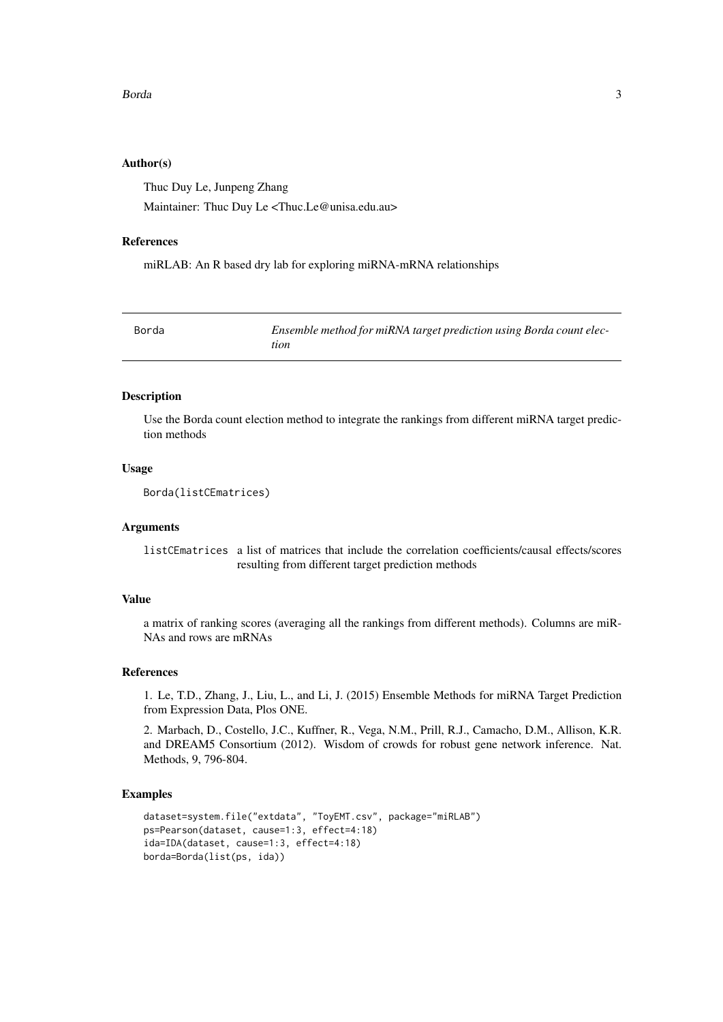#### <span id="page-2-0"></span>Borda 3

#### Author(s)

Thuc Duy Le, Junpeng Zhang Maintainer: Thuc Duy Le <Thuc.Le@unisa.edu.au>

#### References

miRLAB: An R based dry lab for exploring miRNA-mRNA relationships

| Borda | Ensemble method for miRNA target prediction using Borda count elec- |
|-------|---------------------------------------------------------------------|
|       | tion                                                                |

# Description

Use the Borda count election method to integrate the rankings from different miRNA target prediction methods

#### Usage

```
Borda(listCEmatrices)
```
# Arguments

listCEmatrices a list of matrices that include the correlation coefficients/causal effects/scores resulting from different target prediction methods

#### Value

a matrix of ranking scores (averaging all the rankings from different methods). Columns are miR-NAs and rows are mRNAs

#### References

1. Le, T.D., Zhang, J., Liu, L., and Li, J. (2015) Ensemble Methods for miRNA Target Prediction from Expression Data, Plos ONE.

2. Marbach, D., Costello, J.C., Kuffner, R., Vega, N.M., Prill, R.J., Camacho, D.M., Allison, K.R. and DREAM5 Consortium (2012). Wisdom of crowds for robust gene network inference. Nat. Methods, 9, 796-804.

```
dataset=system.file("extdata", "ToyEMT.csv", package="miRLAB")
ps=Pearson(dataset, cause=1:3, effect=4:18)
ida=IDA(dataset, cause=1:3, effect=4:18)
borda=Borda(list(ps, ida))
```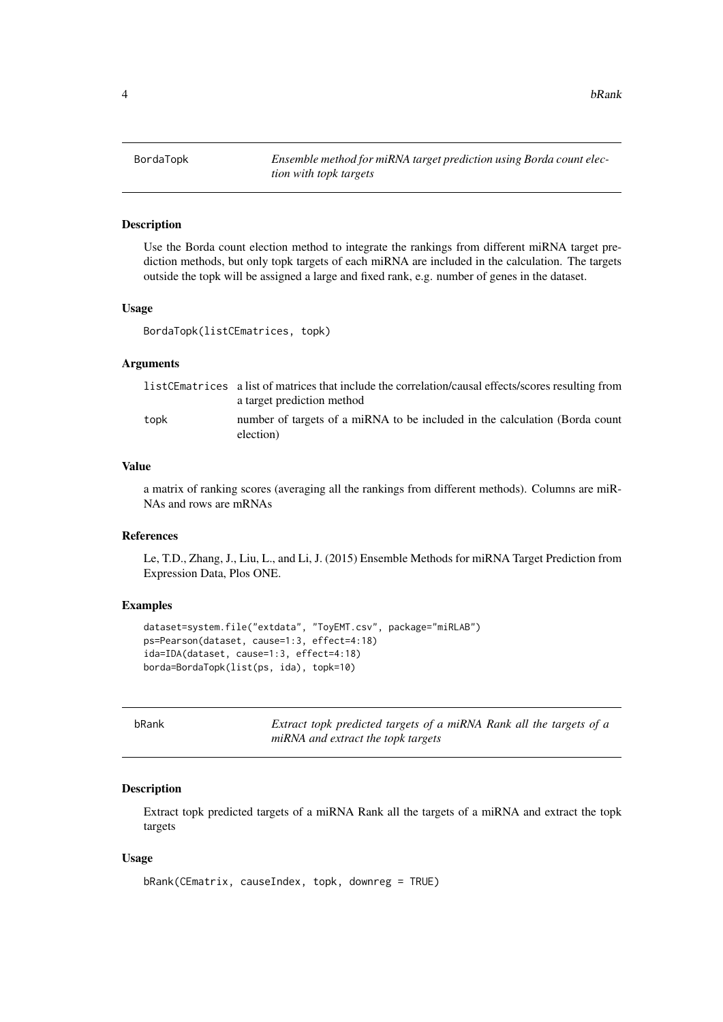<span id="page-3-0"></span>4 bRank based on the set of the set of the set of the set of the set of the set of the set of the set of the set of the set of the set of the set of the set of the set of the set of the set of the set of the set of the set

#### **Description**

Use the Borda count election method to integrate the rankings from different miRNA target prediction methods, but only topk targets of each miRNA are included in the calculation. The targets outside the topk will be assigned a large and fixed rank, e.g. number of genes in the dataset.

# Usage

BordaTopk(listCEmatrices, topk)

#### Arguments

|      | listCEmatrices a list of matrices that include the correlation/causal effects/scores resulting from<br>a target prediction method |
|------|-----------------------------------------------------------------------------------------------------------------------------------|
| topk | number of targets of a miRNA to be included in the calculation (Borda count<br>election)                                          |

#### Value

a matrix of ranking scores (averaging all the rankings from different methods). Columns are miR-NAs and rows are mRNAs

#### References

Le, T.D., Zhang, J., Liu, L., and Li, J. (2015) Ensemble Methods for miRNA Target Prediction from Expression Data, Plos ONE.

#### Examples

```
dataset=system.file("extdata", "ToyEMT.csv", package="miRLAB")
ps=Pearson(dataset, cause=1:3, effect=4:18)
ida=IDA(dataset, cause=1:3, effect=4:18)
borda=BordaTopk(list(ps, ida), topk=10)
```
bRank *Extract topk predicted targets of a miRNA Rank all the targets of a miRNA and extract the topk targets*

#### Description

Extract topk predicted targets of a miRNA Rank all the targets of a miRNA and extract the topk targets

```
bRank(CEmatrix, causeIndex, topk, downreg = TRUE)
```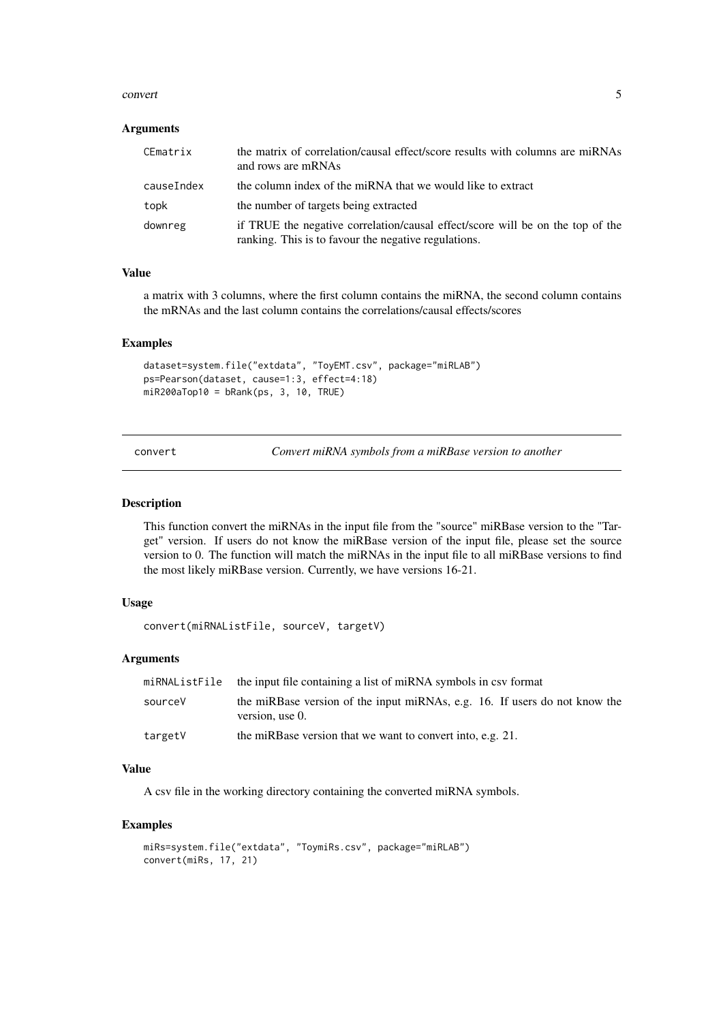#### <span id="page-4-0"></span>convert 5

#### Arguments

| CEmatrix   | the matrix of correlation/causal effect/score results with columns are miRNAs<br>and rows are mRNAs                                    |
|------------|----------------------------------------------------------------------------------------------------------------------------------------|
| causeIndex | the column index of the miRNA that we would like to extract                                                                            |
| topk       | the number of targets being extracted                                                                                                  |
| downreg    | if TRUE the negative correlation/causal effect/score will be on the top of the<br>ranking. This is to favour the negative regulations. |

#### Value

a matrix with 3 columns, where the first column contains the miRNA, the second column contains the mRNAs and the last column contains the correlations/causal effects/scores

#### Examples

```
dataset=system.file("extdata", "ToyEMT.csv", package="miRLAB")
ps=Pearson(dataset, cause=1:3, effect=4:18)
miR200aTop10 = bRank(ps, 3, 10, TRUE)
```
Convert miRNA symbols from a miRBase version to another

#### Description

This function convert the miRNAs in the input file from the "source" miRBase version to the "Target" version. If users do not know the miRBase version of the input file, please set the source version to 0. The function will match the miRNAs in the input file to all miRBase versions to find the most likely miRBase version. Currently, we have versions 16-21.

# Usage

convert(miRNAListFile, sourceV, targetV)

# Arguments

|         | miRNAListFile the input file containing a list of miRNA symbols in csy format                 |
|---------|-----------------------------------------------------------------------------------------------|
| sourceV | the miRBase version of the input miRNAs, e.g. 16. If users do not know the<br>version, use 0. |
| targetV | the miRBase version that we want to convert into, e.g. 21.                                    |

#### Value

A csv file in the working directory containing the converted miRNA symbols.

```
miRs=system.file("extdata", "ToymiRs.csv", package="miRLAB")
convert(miRs, 17, 21)
```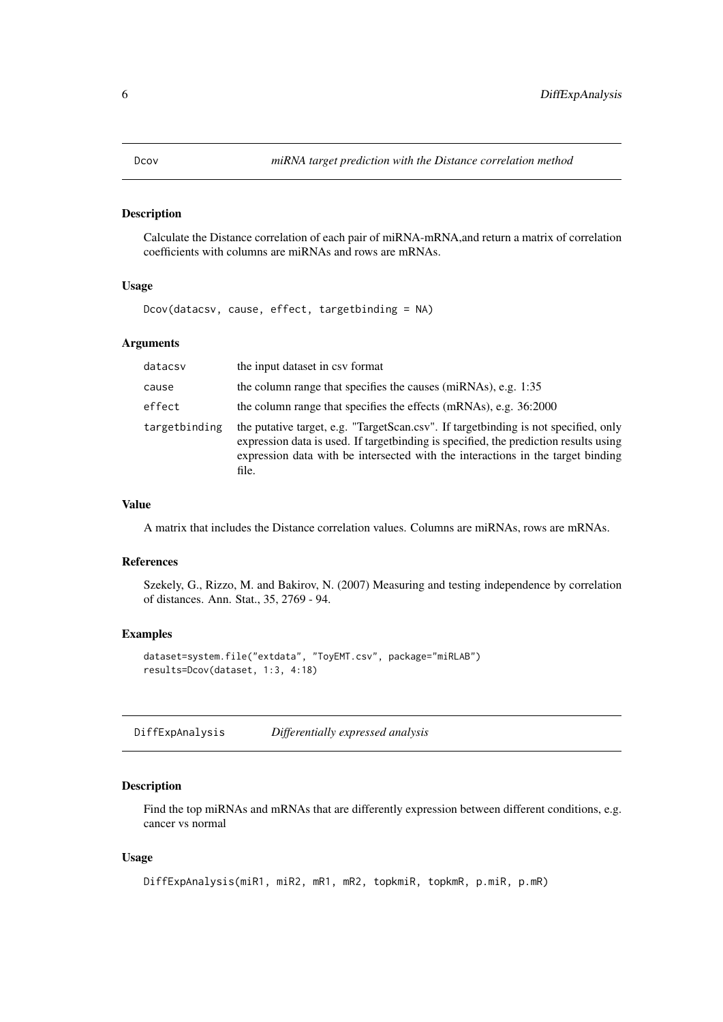<span id="page-5-0"></span>

Calculate the Distance correlation of each pair of miRNA-mRNA,and return a matrix of correlation coefficients with columns are miRNAs and rows are mRNAs.

# Usage

Dcov(datacsv, cause, effect, targetbinding = NA)

# Arguments

| datacsv       | the input dataset in csy format                                                                                                                                                                                                                                           |
|---------------|---------------------------------------------------------------------------------------------------------------------------------------------------------------------------------------------------------------------------------------------------------------------------|
| cause         | the column range that specifies the causes (miRNAs), e.g. 1:35                                                                                                                                                                                                            |
| effect        | the column range that specifies the effects (mRNAs), e.g. 36:2000                                                                                                                                                                                                         |
| targetbinding | the putative target, e.g. "TargetScan.csv". If target binding is not specified, only<br>expression data is used. If target binding is specified, the prediction results using<br>expression data with be intersected with the interactions in the target binding<br>file. |

#### Value

A matrix that includes the Distance correlation values. Columns are miRNAs, rows are mRNAs.

#### References

Szekely, G., Rizzo, M. and Bakirov, N. (2007) Measuring and testing independence by correlation of distances. Ann. Stat., 35, 2769 - 94.

#### Examples

```
dataset=system.file("extdata", "ToyEMT.csv", package="miRLAB")
results=Dcov(dataset, 1:3, 4:18)
```
DiffExpAnalysis *Differentially expressed analysis*

#### Description

Find the top miRNAs and mRNAs that are differently expression between different conditions, e.g. cancer vs normal

```
DiffExpAnalysis(miR1, miR2, mR1, mR2, topkmiR, topkmR, p.miR, p.mR)
```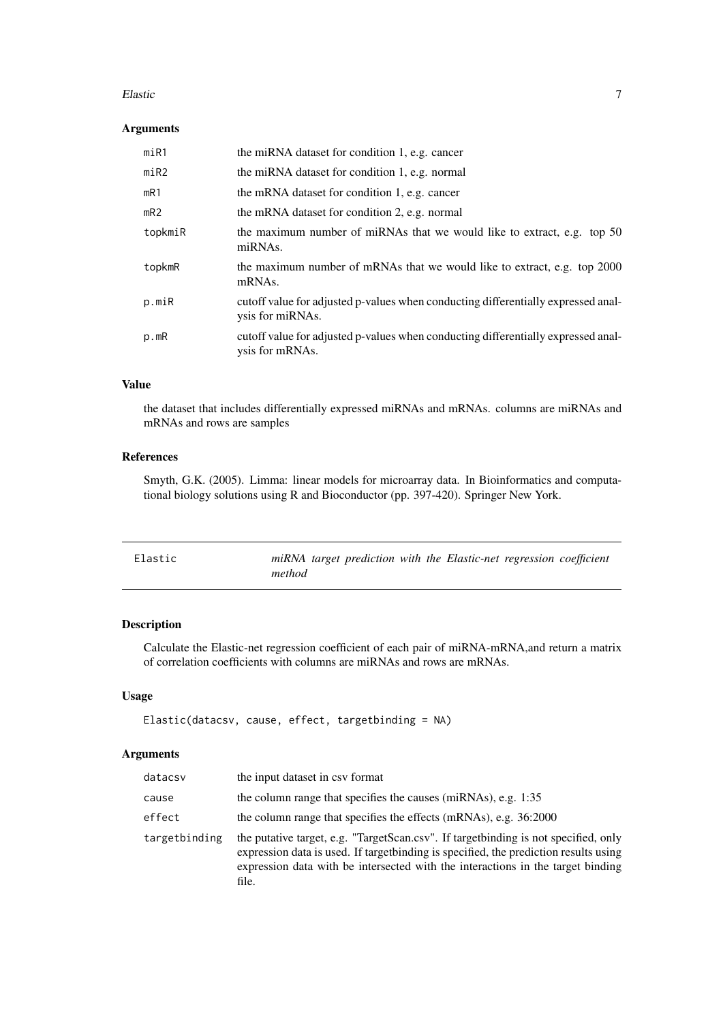#### <span id="page-6-0"></span>Elastic 2008 and 2008 and 2008 and 2008 and 2008 and 2008 and 2008 and 2008 and 2008 and 2008 and 2008 and 200

#### Arguments

| m <sub>i</sub> R <sub>1</sub> | the miRNA dataset for condition 1, e.g. cancer                                                        |
|-------------------------------|-------------------------------------------------------------------------------------------------------|
| m <sub>i</sub> R <sub>2</sub> | the miRNA dataset for condition 1, e.g. normal                                                        |
| mR1                           | the mRNA dataset for condition 1, e.g. cancer                                                         |
| mR2                           | the mRNA dataset for condition 2, e.g. normal                                                         |
| topkmiR                       | the maximum number of miRNAs that we would like to extract, e.g. top 50<br>miRNAs.                    |
| topkmR                        | the maximum number of mRNAs that we would like to extract, e.g. top 2000<br>mRNAs.                    |
| p.miR                         | cutoff value for adjusted p-values when conducting differentially expressed anal-<br>ysis for miRNAs. |
| p.mR                          | cutoff value for adjusted p-values when conducting differentially expressed anal-<br>ysis for mRNAs.  |

#### Value

the dataset that includes differentially expressed miRNAs and mRNAs. columns are miRNAs and mRNAs and rows are samples

# References

Smyth, G.K. (2005). Limma: linear models for microarray data. In Bioinformatics and computational biology solutions using R and Bioconductor (pp. 397-420). Springer New York.

| Elastic | miRNA target prediction with the Elastic-net regression coefficient |
|---------|---------------------------------------------------------------------|
|         | method                                                              |

# Description

Calculate the Elastic-net regression coefficient of each pair of miRNA-mRNA,and return a matrix of correlation coefficients with columns are miRNAs and rows are mRNAs.

# Usage

```
Elastic(datacsv, cause, effect, targetbinding = NA)
```
# Arguments

| datacsv       | the input dataset in csy format                                                                                                                                                                                                                                           |
|---------------|---------------------------------------------------------------------------------------------------------------------------------------------------------------------------------------------------------------------------------------------------------------------------|
| cause         | the column range that specifies the causes (miRNAs), e.g. 1:35                                                                                                                                                                                                            |
| effect        | the column range that specifies the effects (mRNAs), e.g. 36:2000                                                                                                                                                                                                         |
| targetbinding | the putative target, e.g. "TargetScan.csv". If target binding is not specified, only<br>expression data is used. If target binding is specified, the prediction results using<br>expression data with be intersected with the interactions in the target binding<br>file. |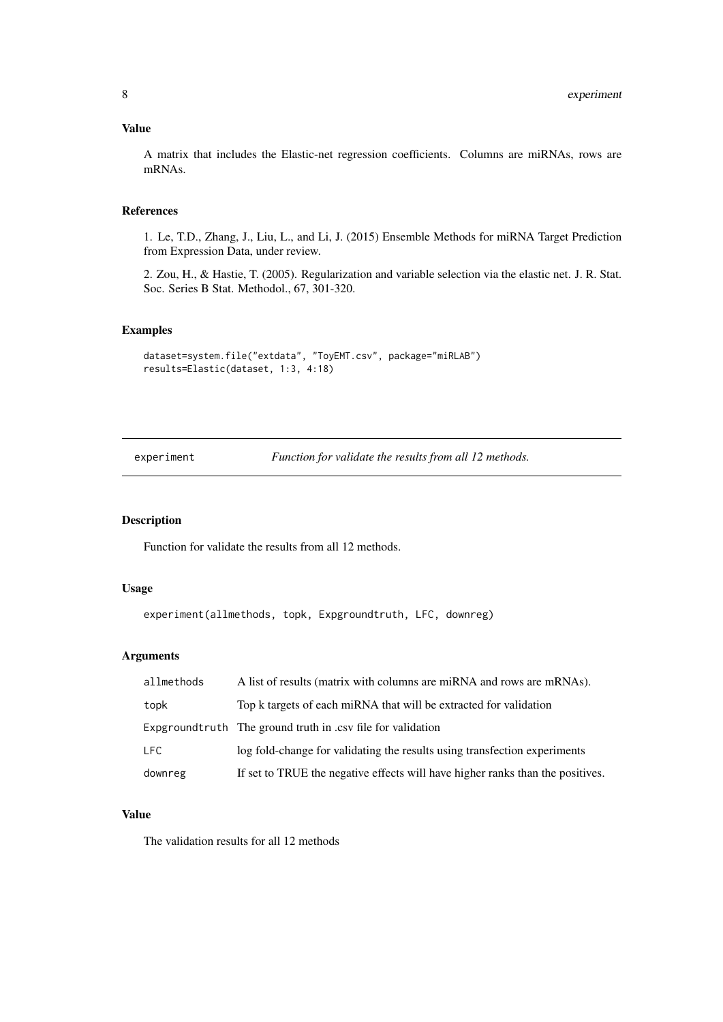#### <span id="page-7-0"></span>Value

A matrix that includes the Elastic-net regression coefficients. Columns are miRNAs, rows are mRNAs.

# References

1. Le, T.D., Zhang, J., Liu, L., and Li, J. (2015) Ensemble Methods for miRNA Target Prediction from Expression Data, under review.

2. Zou, H., & Hastie, T. (2005). Regularization and variable selection via the elastic net. J. R. Stat. Soc. Series B Stat. Methodol., 67, 301-320.

#### Examples

```
dataset=system.file("extdata", "ToyEMT.csv", package="miRLAB")
results=Elastic(dataset, 1:3, 4:18)
```
experiment *Function for validate the results from all 12 methods.*

#### Description

Function for validate the results from all 12 methods.

#### Usage

```
experiment(allmethods, topk, Expgroundtruth, LFC, downreg)
```
# Arguments

| allmethods | A list of results (matrix with columns are miRNA and rows are mRNAs).          |
|------------|--------------------------------------------------------------------------------|
| topk       | Top k targets of each miRNA that will be extracted for validation              |
|            | Expground truth The ground truth in .csv file for validation                   |
| LFC.       | log fold-change for validating the results using transfection experiments      |
| downreg    | If set to TRUE the negative effects will have higher ranks than the positives. |

#### Value

The validation results for all 12 methods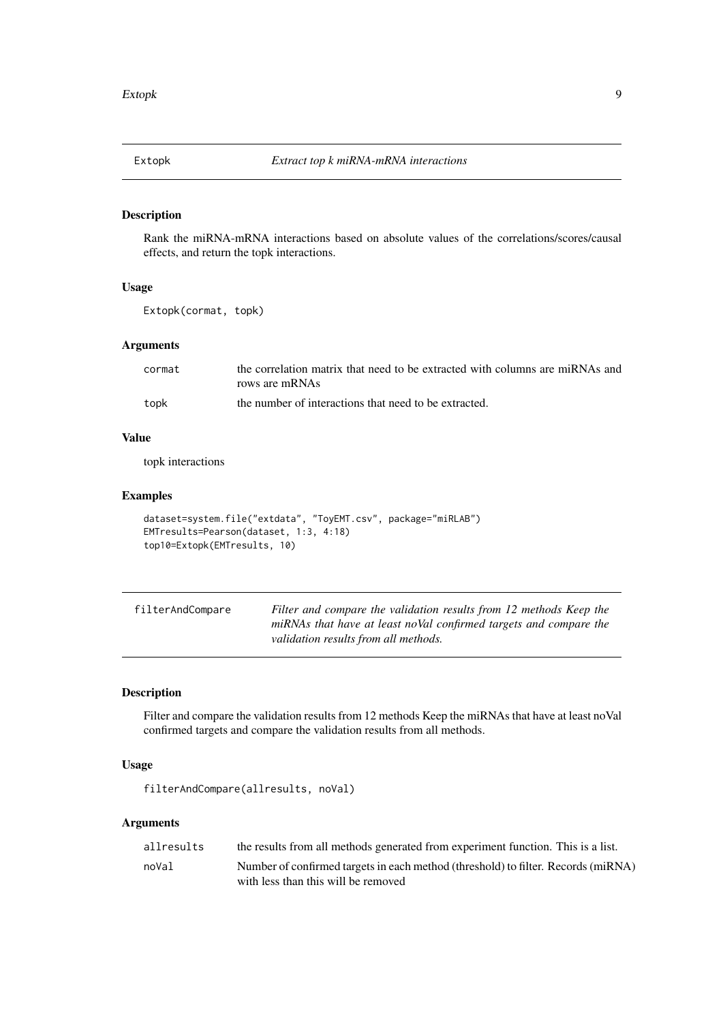<span id="page-8-0"></span>

Rank the miRNA-mRNA interactions based on absolute values of the correlations/scores/causal effects, and return the topk interactions.

# Usage

```
Extopk(cormat, topk)
```
# Arguments

| cormat | the correlation matrix that need to be extracted with columns are miRNAs and |
|--------|------------------------------------------------------------------------------|
|        | rows are mRNAs                                                               |
| topk   | the number of interactions that need to be extracted.                        |

#### Value

topk interactions

# Examples

```
dataset=system.file("extdata", "ToyEMT.csv", package="miRLAB")
EMTresults=Pearson(dataset, 1:3, 4:18)
top10=Extopk(EMTresults, 10)
```

| filterAndCompare | Filter and compare the validation results from 12 methods Keep the |
|------------------|--------------------------------------------------------------------|
|                  | miRNAs that have at least noVal confirmed targets and compare the  |
|                  | validation results from all methods.                               |

# Description

Filter and compare the validation results from 12 methods Keep the miRNAs that have at least noVal confirmed targets and compare the validation results from all methods.

# Usage

filterAndCompare(allresults, noVal)

# Arguments

| allresults | the results from all methods generated from experiment function. This is a list.  |
|------------|-----------------------------------------------------------------------------------|
| noVal      | Number of confirmed targets in each method (threshold) to filter. Records (miRNA) |
|            | with less than this will be removed                                               |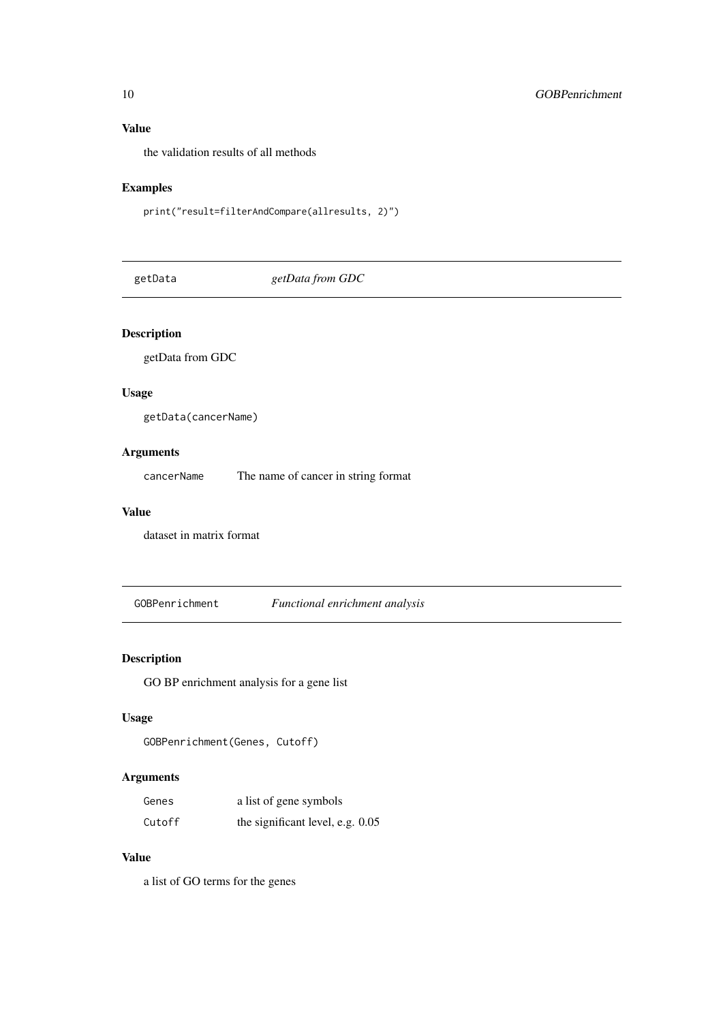# Value

the validation results of all methods

# Examples

print("result=filterAndCompare(allresults, 2)")

getData *getData from GDC*

# Description

getData from GDC

# Usage

getData(cancerName)

# Arguments

cancerName The name of cancer in string format

# Value

dataset in matrix format

GOBPenrichment *Functional enrichment analysis*

# Description

GO BP enrichment analysis for a gene list

# Usage

```
GOBPenrichment(Genes, Cutoff)
```
# Arguments

| Genes  | a list of gene symbols           |
|--------|----------------------------------|
| Cutoff | the significant level, e.g. 0.05 |

# Value

a list of GO terms for the genes

<span id="page-9-0"></span>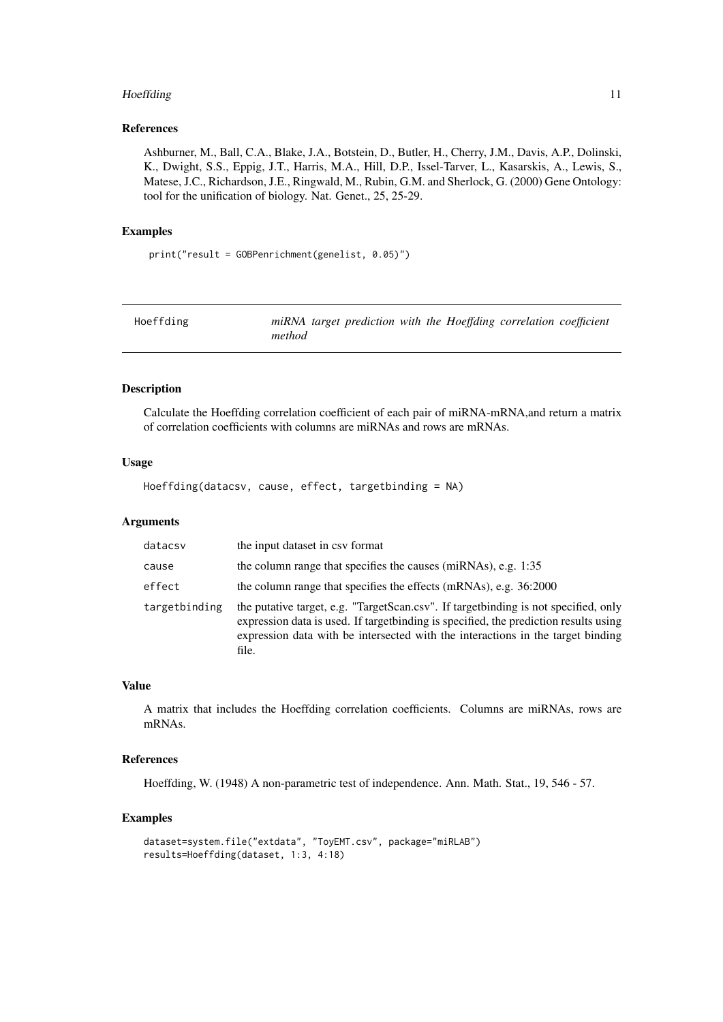#### <span id="page-10-0"></span>Hoeffding 11

#### References

Ashburner, M., Ball, C.A., Blake, J.A., Botstein, D., Butler, H., Cherry, J.M., Davis, A.P., Dolinski, K., Dwight, S.S., Eppig, J.T., Harris, M.A., Hill, D.P., Issel-Tarver, L., Kasarskis, A., Lewis, S., Matese, J.C., Richardson, J.E., Ringwald, M., Rubin, G.M. and Sherlock, G. (2000) Gene Ontology: tool for the unification of biology. Nat. Genet., 25, 25-29.

#### Examples

print("result = GOBPenrichment(genelist, 0.05)")

| Hoeffding |        |  |  | miRNA target prediction with the Hoeffding correlation coefficient |  |
|-----------|--------|--|--|--------------------------------------------------------------------|--|
|           | method |  |  |                                                                    |  |

#### Description

Calculate the Hoeffding correlation coefficient of each pair of miRNA-mRNA,and return a matrix of correlation coefficients with columns are miRNAs and rows are mRNAs.

#### Usage

Hoeffding(datacsv, cause, effect, targetbinding = NA)

#### Arguments

| datacsv       | the input dataset in csy format                                                                                                                                                                                                                                           |
|---------------|---------------------------------------------------------------------------------------------------------------------------------------------------------------------------------------------------------------------------------------------------------------------------|
| cause         | the column range that specifies the causes (miRNAs), e.g. 1:35                                                                                                                                                                                                            |
| effect        | the column range that specifies the effects (mRNAs), e.g. 36:2000                                                                                                                                                                                                         |
| targetbinding | the putative target, e.g. "TargetScan.csv". If target binding is not specified, only<br>expression data is used. If target binding is specified, the prediction results using<br>expression data with be intersected with the interactions in the target binding<br>file. |

# Value

A matrix that includes the Hoeffding correlation coefficients. Columns are miRNAs, rows are mRNAs.

#### References

Hoeffding, W. (1948) A non-parametric test of independence. Ann. Math. Stat., 19, 546 - 57.

```
dataset=system.file("extdata", "ToyEMT.csv", package="miRLAB")
results=Hoeffding(dataset, 1:3, 4:18)
```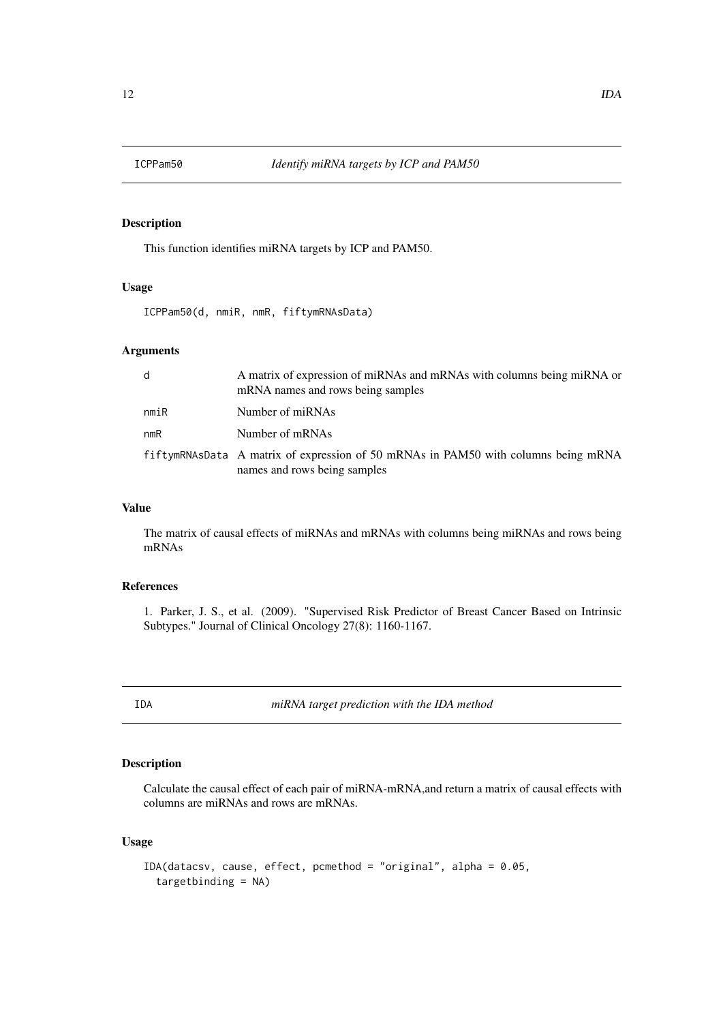<span id="page-11-0"></span>

This function identifies miRNA targets by ICP and PAM50.

# Usage

ICPPam50(d, nmiR, nmR, fiftymRNAsData)

# Arguments

| d    | A matrix of expression of miRNAs and mRNAs with columns being miRNA or<br>mRNA names and rows being samples        |
|------|--------------------------------------------------------------------------------------------------------------------|
| nmiR | Number of miRNAs                                                                                                   |
| nmR  | Number of mRNAs                                                                                                    |
|      | fiftymRNAsData A matrix of expression of 50 mRNAs in PAM50 with columns being mRNA<br>names and rows being samples |

# Value

The matrix of causal effects of miRNAs and mRNAs with columns being miRNAs and rows being mRNAs

# References

1. Parker, J. S., et al. (2009). "Supervised Risk Predictor of Breast Cancer Based on Intrinsic Subtypes." Journal of Clinical Oncology 27(8): 1160-1167.

IDA *miRNA target prediction with the IDA method*

# Description

Calculate the causal effect of each pair of miRNA-mRNA,and return a matrix of causal effects with columns are miRNAs and rows are mRNAs.

```
IDA(datacsv, cause, effect, pcmethod = "original", alpha = 0.05,
  targetbinding = NA)
```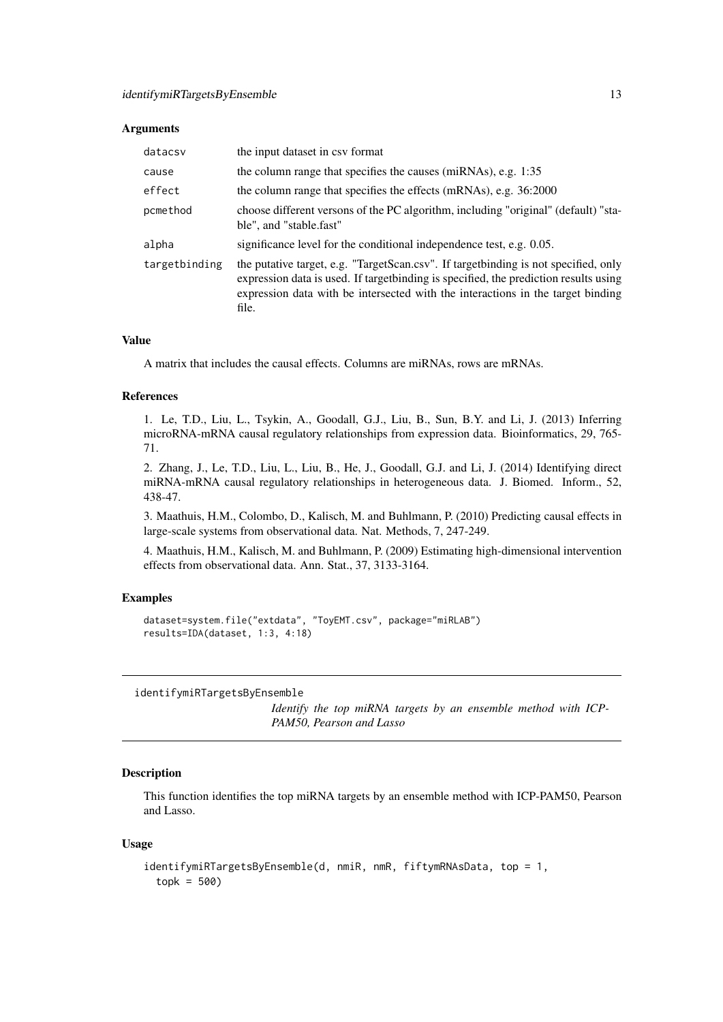#### <span id="page-12-0"></span>Arguments

| datacsv       | the input dataset in csy format                                                                                                                                                                                                                                          |
|---------------|--------------------------------------------------------------------------------------------------------------------------------------------------------------------------------------------------------------------------------------------------------------------------|
| cause         | the column range that specifies the causes (miRNAs), e.g. 1:35                                                                                                                                                                                                           |
| effect        | the column range that specifies the effects (mRNAs), e.g. 36:2000                                                                                                                                                                                                        |
| pcmethod      | choose different versons of the PC algorithm, including "original" (default) "sta-<br>ble", and "stable.fast"                                                                                                                                                            |
| alpha         | significance level for the conditional independence test, e.g. 0.05.                                                                                                                                                                                                     |
| targetbinding | the putative target, e.g. "TargetScan.csv". If targetbinding is not specified, only<br>expression data is used. If target binding is specified, the prediction results using<br>expression data with be intersected with the interactions in the target binding<br>file. |

# Value

A matrix that includes the causal effects. Columns are miRNAs, rows are mRNAs.

#### References

1. Le, T.D., Liu, L., Tsykin, A., Goodall, G.J., Liu, B., Sun, B.Y. and Li, J. (2013) Inferring microRNA-mRNA causal regulatory relationships from expression data. Bioinformatics, 29, 765- 71.

2. Zhang, J., Le, T.D., Liu, L., Liu, B., He, J., Goodall, G.J. and Li, J. (2014) Identifying direct miRNA-mRNA causal regulatory relationships in heterogeneous data. J. Biomed. Inform., 52, 438-47.

3. Maathuis, H.M., Colombo, D., Kalisch, M. and Buhlmann, P. (2010) Predicting causal effects in large-scale systems from observational data. Nat. Methods, 7, 247-249.

4. Maathuis, H.M., Kalisch, M. and Buhlmann, P. (2009) Estimating high-dimensional intervention effects from observational data. Ann. Stat., 37, 3133-3164.

#### Examples

```
dataset=system.file("extdata", "ToyEMT.csv", package="miRLAB")
results=IDA(dataset, 1:3, 4:18)
```
identifymiRTargetsByEnsemble

*Identify the top miRNA targets by an ensemble method with ICP-PAM50, Pearson and Lasso*

#### Description

This function identifies the top miRNA targets by an ensemble method with ICP-PAM50, Pearson and Lasso.

```
identifymiRTargetsByEnsemble(d, nmiR, nmR, fiftymRNAsData, top = 1,
 topk = 500
```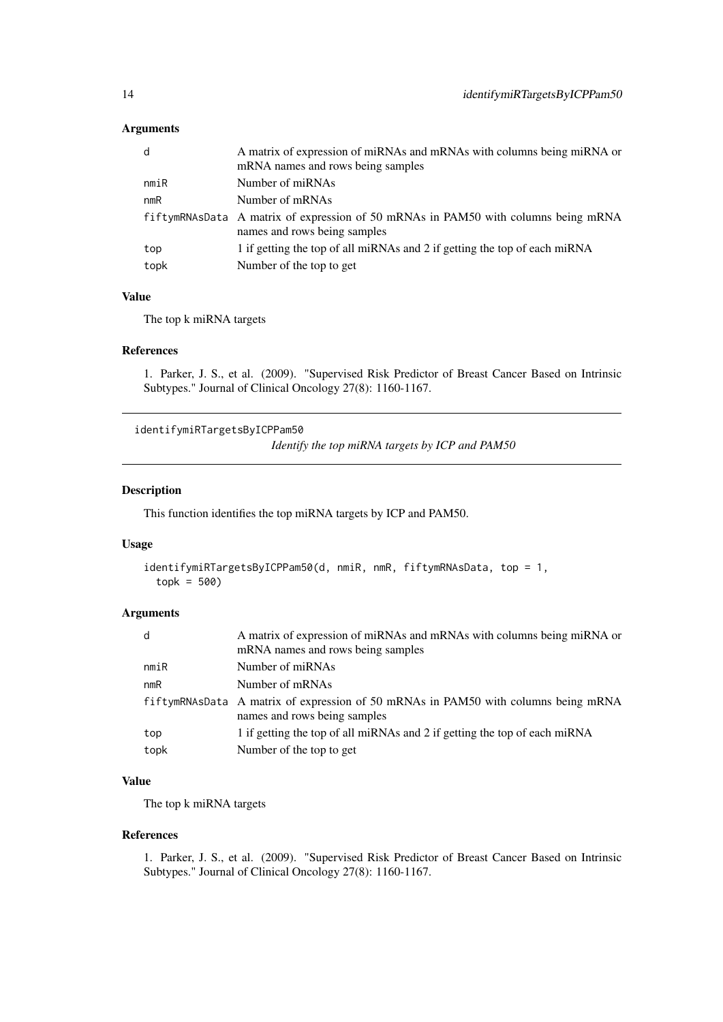# <span id="page-13-0"></span>Arguments

| d    | A matrix of expression of miRNAs and mRNAs with columns being miRNA or<br>mRNA names and rows being samples        |
|------|--------------------------------------------------------------------------------------------------------------------|
| nmin | Number of miRNAs                                                                                                   |
| nmR  | Number of mRNAs                                                                                                    |
|      | fiftymRNAsData A matrix of expression of 50 mRNAs in PAM50 with columns being mRNA<br>names and rows being samples |
| top  | 1 if getting the top of all miRNAs and 2 if getting the top of each miRNA                                          |
| topk | Number of the top to get                                                                                           |
|      |                                                                                                                    |

# Value

The top k miRNA targets

# References

1. Parker, J. S., et al. (2009). "Supervised Risk Predictor of Breast Cancer Based on Intrinsic Subtypes." Journal of Clinical Oncology 27(8): 1160-1167.

identifymiRTargetsByICPPam50

*Identify the top miRNA targets by ICP and PAM50*

#### Description

This function identifies the top miRNA targets by ICP and PAM50.

#### Usage

```
identifymiRTargetsByICPPam50(d, nmiR, nmR, fiftymRNAsData, top = 1,
 topk = 500
```
#### Arguments

| d    | A matrix of expression of miRNAs and mRNAs with columns being miRNA or<br>mRNA names and rows being samples        |
|------|--------------------------------------------------------------------------------------------------------------------|
| nmin | Number of miRNAs                                                                                                   |
| nmR  | Number of mRNAs                                                                                                    |
|      | fiftymRNAsData A matrix of expression of 50 mRNAs in PAM50 with columns being mRNA<br>names and rows being samples |
| top  | 1 if getting the top of all miRNAs and 2 if getting the top of each miRNA                                          |
| topk | Number of the top to get                                                                                           |

# Value

The top k miRNA targets

# References

1. Parker, J. S., et al. (2009). "Supervised Risk Predictor of Breast Cancer Based on Intrinsic Subtypes." Journal of Clinical Oncology 27(8): 1160-1167.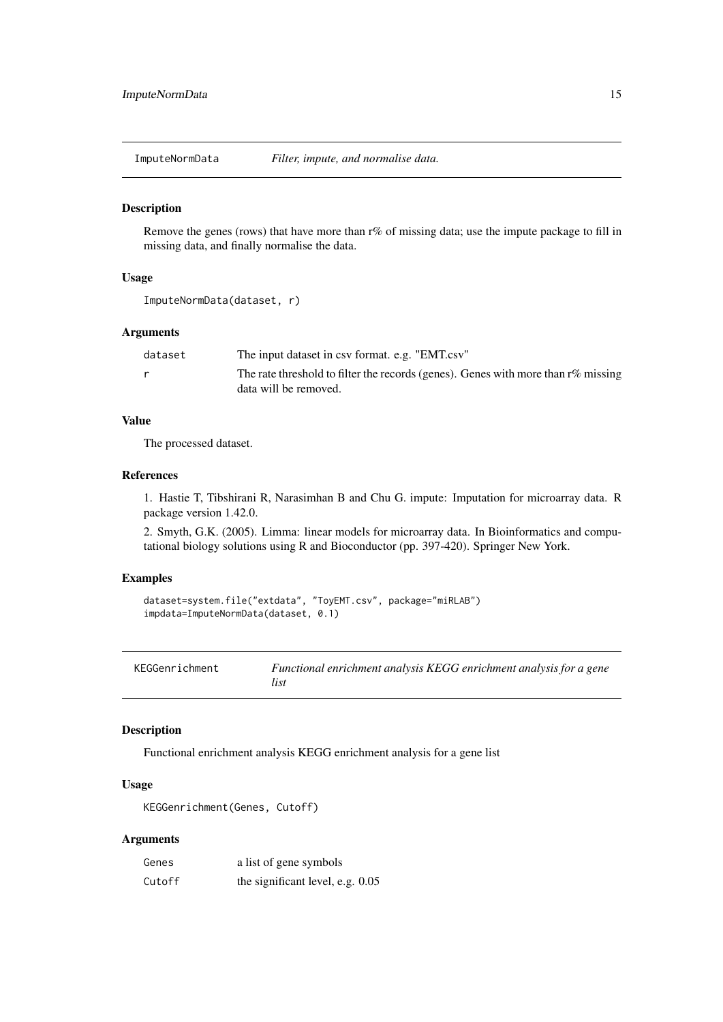<span id="page-14-0"></span>ImputeNormData *Filter, impute, and normalise data.*

#### Description

Remove the genes (rows) that have more than r% of missing data; use the impute package to fill in missing data, and finally normalise the data.

# Usage

```
ImputeNormData(dataset, r)
```
#### Arguments

| dataset | The input dataset in csy format. e.g. "EMT.csy"                                      |
|---------|--------------------------------------------------------------------------------------|
|         | The rate threshold to filter the records (genes). Genes with more than $r\%$ missing |
|         | data will be removed.                                                                |

# Value

The processed dataset.

# References

1. Hastie T, Tibshirani R, Narasimhan B and Chu G. impute: Imputation for microarray data. R package version 1.42.0.

2. Smyth, G.K. (2005). Limma: linear models for microarray data. In Bioinformatics and computational biology solutions using R and Bioconductor (pp. 397-420). Springer New York.

# Examples

```
dataset=system.file("extdata", "ToyEMT.csv", package="miRLAB")
impdata=ImputeNormData(dataset, 0.1)
```

| KEGGenrichment | Functional enrichment analysis KEGG enrichment analysis for a gene |
|----------------|--------------------------------------------------------------------|
|                | list                                                               |

# Description

Functional enrichment analysis KEGG enrichment analysis for a gene list

#### Usage

```
KEGGenrichment(Genes, Cutoff)
```
# Arguments

| Genes  | a list of gene symbols             |
|--------|------------------------------------|
| Cutoff | the significant level, e.g. $0.05$ |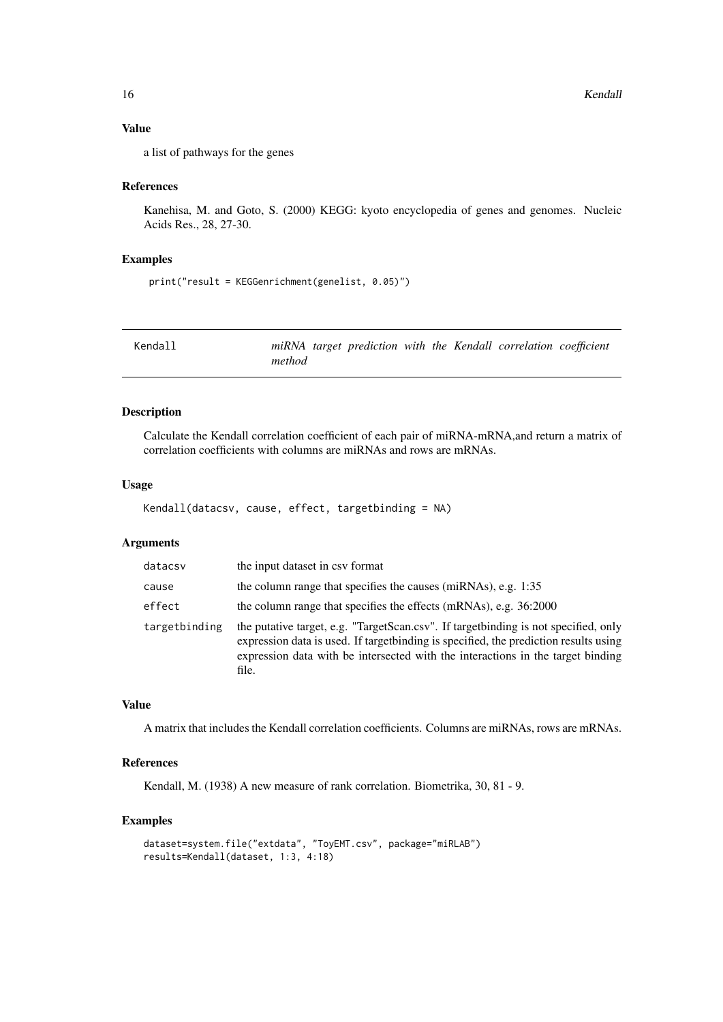# Value

a list of pathways for the genes

#### References

Kanehisa, M. and Goto, S. (2000) KEGG: kyoto encyclopedia of genes and genomes. Nucleic Acids Res., 28, 27-30.

# Examples

```
print("result = KEGGenrichment(genelist, 0.05)")
```

| Kendall |        |  |  | miRNA target prediction with the Kendall correlation coefficient |  |
|---------|--------|--|--|------------------------------------------------------------------|--|
|         | method |  |  |                                                                  |  |

#### Description

Calculate the Kendall correlation coefficient of each pair of miRNA-mRNA,and return a matrix of correlation coefficients with columns are miRNAs and rows are mRNAs.

#### Usage

```
Kendall(datacsv, cause, effect, targetbinding = NA)
```
# Arguments

| datacsv       | the input dataset in csv format                                                                                                                                                                                                                                          |
|---------------|--------------------------------------------------------------------------------------------------------------------------------------------------------------------------------------------------------------------------------------------------------------------------|
| cause         | the column range that specifies the causes (miRNAs), e.g. 1:35                                                                                                                                                                                                           |
| effect        | the column range that specifies the effects (mRNAs), e.g. 36:2000                                                                                                                                                                                                        |
| targetbinding | the putative target, e.g. "TargetScan.csv". If target binding is not specified, only<br>expression data is used. If targetbinding is specified, the prediction results using<br>expression data with be intersected with the interactions in the target binding<br>file. |

#### Value

A matrix that includes the Kendall correlation coefficients. Columns are miRNAs, rows are mRNAs.

# References

Kendall, M. (1938) A new measure of rank correlation. Biometrika, 30, 81 - 9.

```
dataset=system.file("extdata", "ToyEMT.csv", package="miRLAB")
results=Kendall(dataset, 1:3, 4:18)
```
<span id="page-15-0"></span>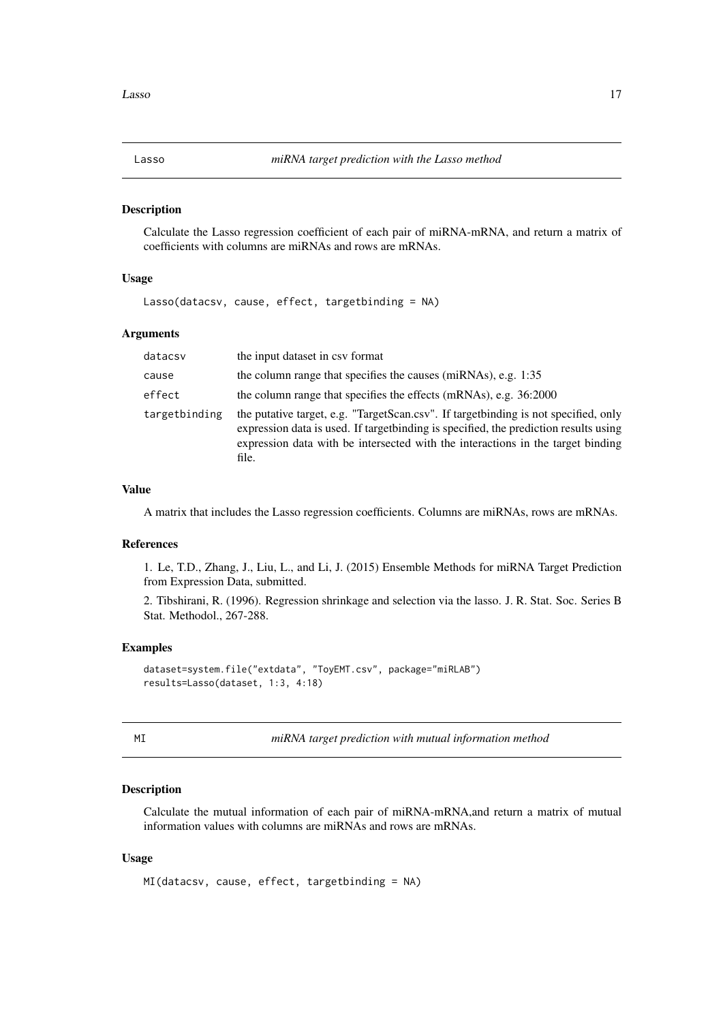<span id="page-16-0"></span>

Calculate the Lasso regression coefficient of each pair of miRNA-mRNA, and return a matrix of coefficients with columns are miRNAs and rows are mRNAs.

#### Usage

Lasso(datacsv, cause, effect, targetbinding = NA)

#### Arguments

| datacsv       | the input dataset in csv format                                                                                                                                                                                                                                           |
|---------------|---------------------------------------------------------------------------------------------------------------------------------------------------------------------------------------------------------------------------------------------------------------------------|
| cause         | the column range that specifies the causes (miRNAs), e.g. 1:35                                                                                                                                                                                                            |
| effect        | the column range that specifies the effects (mRNAs), e.g. 36:2000                                                                                                                                                                                                         |
| targetbinding | the putative target, e.g. "TargetScan.csv". If target binding is not specified, only<br>expression data is used. If target binding is specified, the prediction results using<br>expression data with be intersected with the interactions in the target binding<br>file. |

# Value

A matrix that includes the Lasso regression coefficients. Columns are miRNAs, rows are mRNAs.

#### References

1. Le, T.D., Zhang, J., Liu, L., and Li, J. (2015) Ensemble Methods for miRNA Target Prediction from Expression Data, submitted.

2. Tibshirani, R. (1996). Regression shrinkage and selection via the lasso. J. R. Stat. Soc. Series B Stat. Methodol., 267-288.

# Examples

```
dataset=system.file("extdata", "ToyEMT.csv", package="miRLAB")
results=Lasso(dataset, 1:3, 4:18)
```
MI *miRNA target prediction with mutual information method*

# Description

Calculate the mutual information of each pair of miRNA-mRNA,and return a matrix of mutual information values with columns are miRNAs and rows are mRNAs.

```
MI(datacsv, cause, effect, targetbinding = NA)
```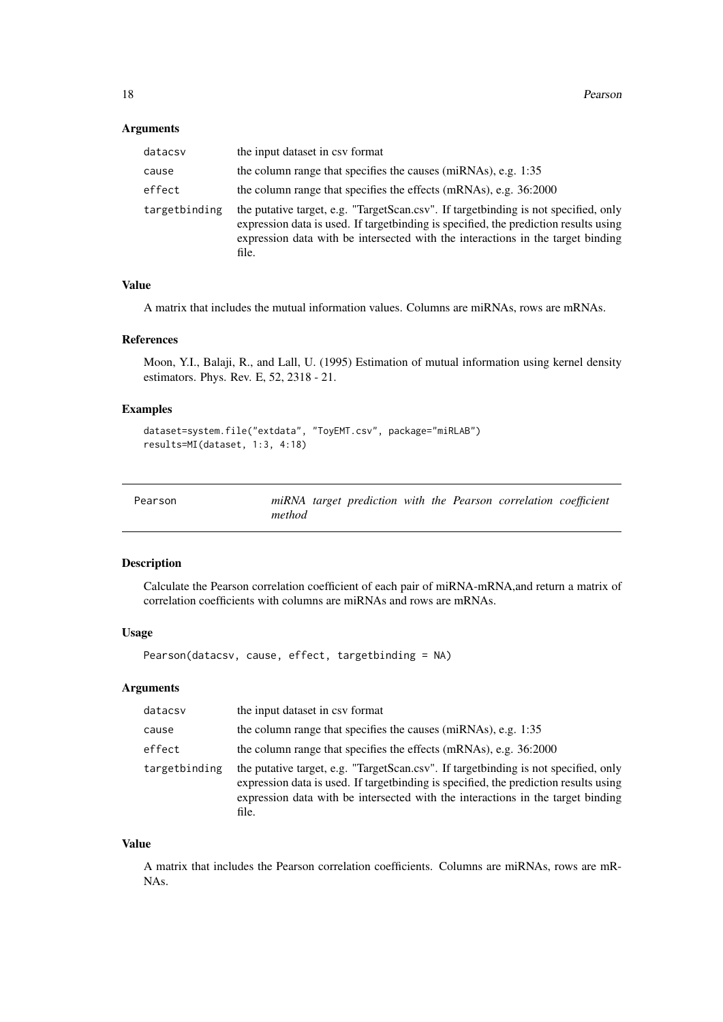### <span id="page-17-0"></span>Arguments

| datacsv       | the input dataset in csy format                                                                                                                                                                                                                                          |
|---------------|--------------------------------------------------------------------------------------------------------------------------------------------------------------------------------------------------------------------------------------------------------------------------|
| cause         | the column range that specifies the causes (miRNAs), e.g. 1:35                                                                                                                                                                                                           |
| effect        | the column range that specifies the effects (mRNAs), e.g. 36:2000                                                                                                                                                                                                        |
| targetbinding | the putative target, e.g. "TargetScan.csv". If target binding is not specified, only<br>expression data is used. If targetbinding is specified, the prediction results using<br>expression data with be intersected with the interactions in the target binding<br>file. |

# Value

A matrix that includes the mutual information values. Columns are miRNAs, rows are mRNAs.

#### References

Moon, Y.I., Balaji, R., and Lall, U. (1995) Estimation of mutual information using kernel density estimators. Phys. Rev. E, 52, 2318 - 21.

# Examples

```
dataset=system.file("extdata", "ToyEMT.csv", package="miRLAB")
results=MI(dataset, 1:3, 4:18)
```

| Pearson |        |  |  | miRNA target prediction with the Pearson correlation coefficient |  |
|---------|--------|--|--|------------------------------------------------------------------|--|
|         | method |  |  |                                                                  |  |

# Description

Calculate the Pearson correlation coefficient of each pair of miRNA-mRNA,and return a matrix of correlation coefficients with columns are miRNAs and rows are mRNAs.

# Usage

Pearson(datacsv, cause, effect, targetbinding = NA)

# Arguments

| datacsv       | the input dataset in csy format                                                                                                                                                                                                                                           |
|---------------|---------------------------------------------------------------------------------------------------------------------------------------------------------------------------------------------------------------------------------------------------------------------------|
| cause         | the column range that specifies the causes (miRNAs), e.g. 1:35                                                                                                                                                                                                            |
| effect        | the column range that specifies the effects (mRNAs), e.g. 36:2000                                                                                                                                                                                                         |
| targetbinding | the putative target, e.g. "TargetScan.csv". If target binding is not specified, only<br>expression data is used. If target binding is specified, the prediction results using<br>expression data with be intersected with the interactions in the target binding<br>file. |

# Value

A matrix that includes the Pearson correlation coefficients. Columns are miRNAs, rows are mR-NAs.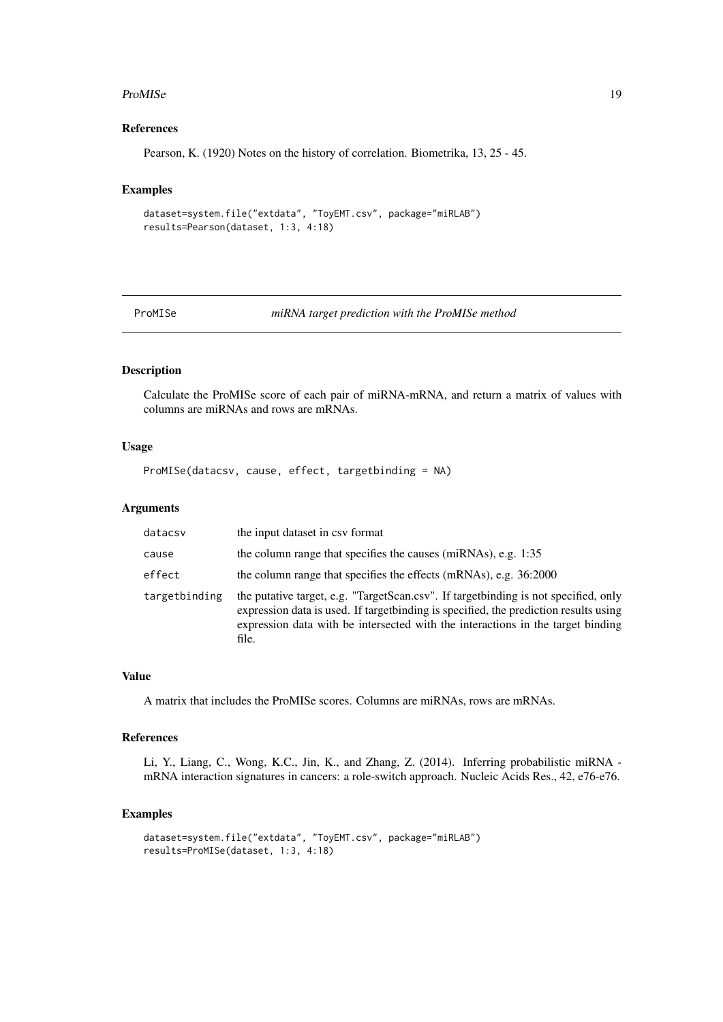#### <span id="page-18-0"></span>ProMISe 19

# References

Pearson, K. (1920) Notes on the history of correlation. Biometrika, 13, 25 - 45.

#### Examples

```
dataset=system.file("extdata", "ToyEMT.csv", package="miRLAB")
results=Pearson(dataset, 1:3, 4:18)
```
ProMISe *miRNA target prediction with the ProMISe method*

# Description

Calculate the ProMISe score of each pair of miRNA-mRNA, and return a matrix of values with columns are miRNAs and rows are mRNAs.

# Usage

ProMISe(datacsv, cause, effect, targetbinding = NA)

#### Arguments

| datacsv       | the input dataset in csy format                                                                                                                                                                                                                                           |
|---------------|---------------------------------------------------------------------------------------------------------------------------------------------------------------------------------------------------------------------------------------------------------------------------|
| cause         | the column range that specifies the causes (miRNAs), e.g. 1:35                                                                                                                                                                                                            |
| effect        | the column range that specifies the effects (mRNAs), e.g. 36:2000                                                                                                                                                                                                         |
| targetbinding | the putative target, e.g. "TargetScan.csv". If target binding is not specified, only<br>expression data is used. If target binding is specified, the prediction results using<br>expression data with be intersected with the interactions in the target binding<br>file. |

# Value

A matrix that includes the ProMISe scores. Columns are miRNAs, rows are mRNAs.

#### References

Li, Y., Liang, C., Wong, K.C., Jin, K., and Zhang, Z. (2014). Inferring probabilistic miRNA mRNA interaction signatures in cancers: a role-switch approach. Nucleic Acids Res., 42, e76-e76.

```
dataset=system.file("extdata", "ToyEMT.csv", package="miRLAB")
results=ProMISe(dataset, 1:3, 4:18)
```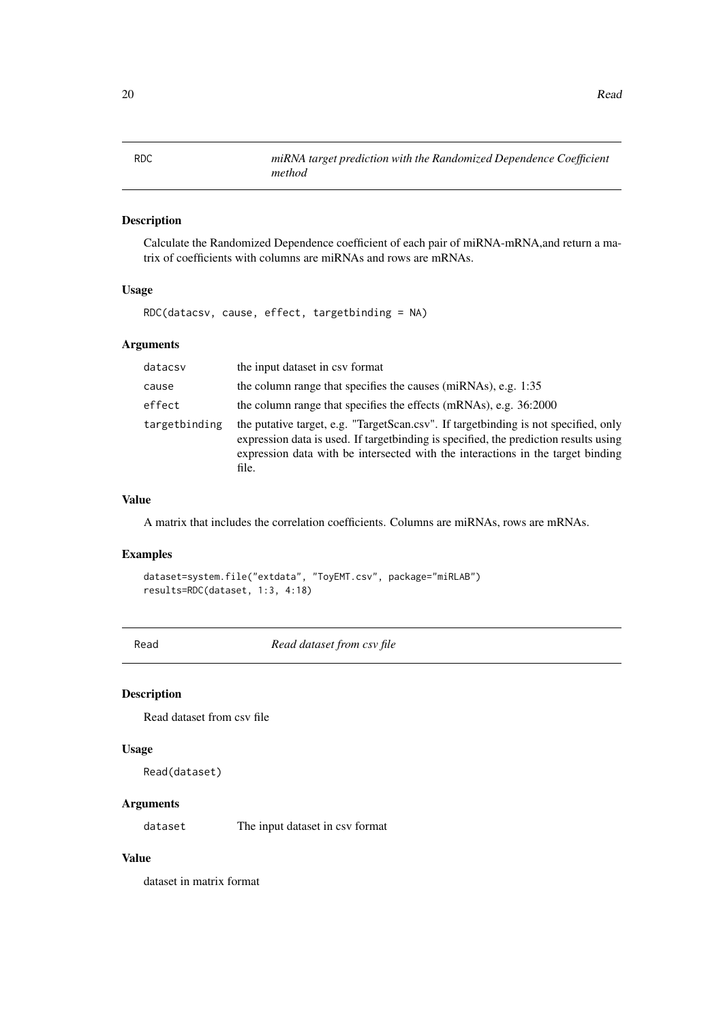<span id="page-19-0"></span>

Calculate the Randomized Dependence coefficient of each pair of miRNA-mRNA,and return a matrix of coefficients with columns are miRNAs and rows are mRNAs.

#### Usage

RDC(datacsv, cause, effect, targetbinding = NA)

# Arguments

| datacsv       | the input dataset in csy format                                                                                                                                                                                                                                          |
|---------------|--------------------------------------------------------------------------------------------------------------------------------------------------------------------------------------------------------------------------------------------------------------------------|
| cause         | the column range that specifies the causes (miRNAs), e.g. 1:35                                                                                                                                                                                                           |
| effect        | the column range that specifies the effects (mRNAs), e.g. 36:2000                                                                                                                                                                                                        |
| targetbinding | the putative target, e.g. "TargetScan.csv". If target binding is not specified, only<br>expression data is used. If targetbinding is specified, the prediction results using<br>expression data with be intersected with the interactions in the target binding<br>file. |

# Value

A matrix that includes the correlation coefficients. Columns are miRNAs, rows are mRNAs.

# Examples

```
dataset=system.file("extdata", "ToyEMT.csv", package="miRLAB")
results=RDC(dataset, 1:3, 4:18)
```
Read *Read dataset from csv file*

#### Description

Read dataset from csv file

#### Usage

Read(dataset)

#### Arguments

dataset The input dataset in csv format

# Value

dataset in matrix format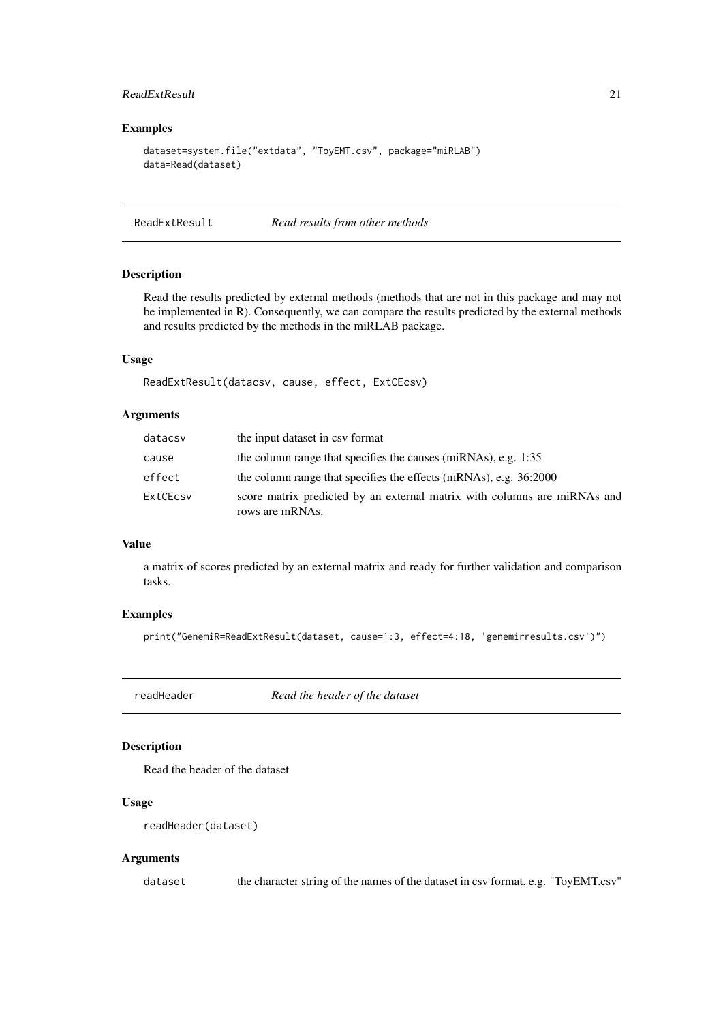#### <span id="page-20-0"></span>ReadExtResult 21

#### Examples

```
dataset=system.file("extdata", "ToyEMT.csv", package="miRLAB")
data=Read(dataset)
```
ReadExtResult *Read results from other methods*

#### Description

Read the results predicted by external methods (methods that are not in this package and may not be implemented in R). Consequently, we can compare the results predicted by the external methods and results predicted by the methods in the miRLAB package.

# Usage

ReadExtResult(datacsv, cause, effect, ExtCEcsv)

#### Arguments

| datacsv  | the input dataset in csy format                                                             |
|----------|---------------------------------------------------------------------------------------------|
| cause    | the column range that specifies the causes (miRNAs), e.g. 1:35                              |
| effect   | the column range that specifies the effects (mRNAs), e.g. 36:2000                           |
| ExtCEcsy | score matrix predicted by an external matrix with columns are miRNAs and<br>rows are mRNAs. |

# Value

a matrix of scores predicted by an external matrix and ready for further validation and comparison tasks.

#### Examples

print("GenemiR=ReadExtResult(dataset, cause=1:3, effect=4:18, 'genemirresults.csv')")

readHeader *Read the header of the dataset*

# Description

Read the header of the dataset

#### Usage

```
readHeader(dataset)
```
# Arguments

dataset the character string of the names of the dataset in csv format, e.g. "ToyEMT.csv"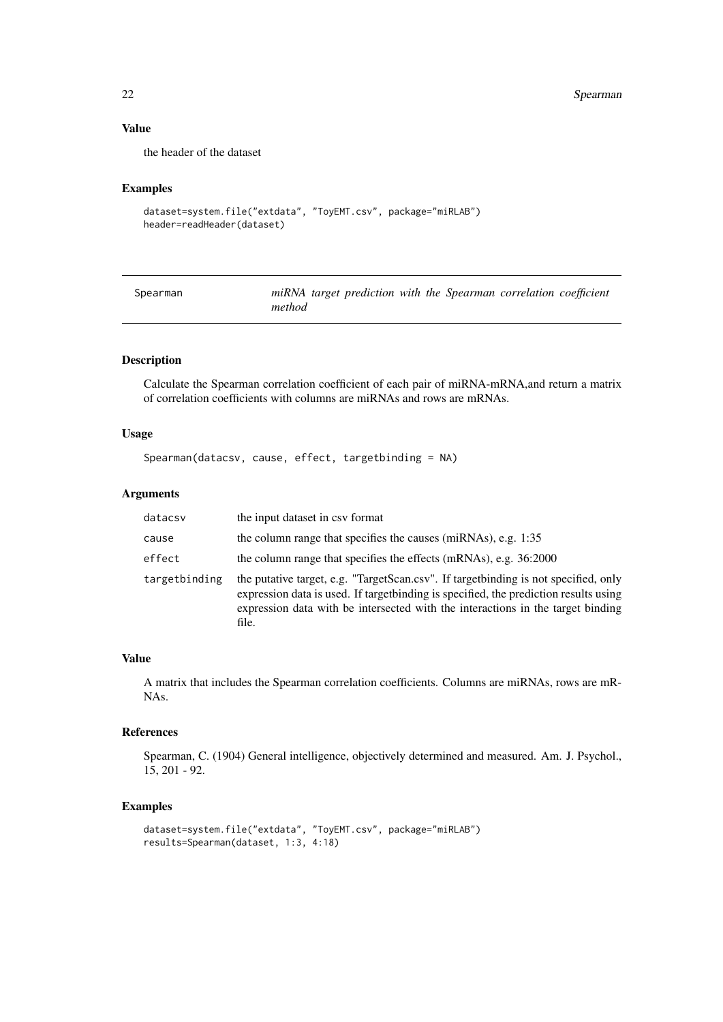# Value

the header of the dataset

# Examples

```
dataset=system.file("extdata", "ToyEMT.csv", package="miRLAB")
header=readHeader(dataset)
```

| Spearman | miRNA target prediction with the Spearman correlation coefficient |
|----------|-------------------------------------------------------------------|
|          | method                                                            |

# Description

Calculate the Spearman correlation coefficient of each pair of miRNA-mRNA,and return a matrix of correlation coefficients with columns are miRNAs and rows are mRNAs.

# Usage

```
Spearman(datacsv, cause, effect, targetbinding = NA)
```
#### Arguments

| datacsv       | the input dataset in csy format                                                                                                                                                                                                                                           |
|---------------|---------------------------------------------------------------------------------------------------------------------------------------------------------------------------------------------------------------------------------------------------------------------------|
| cause         | the column range that specifies the causes (miRNAs), e.g. 1:35                                                                                                                                                                                                            |
| effect        | the column range that specifies the effects (mRNAs), e.g. 36:2000                                                                                                                                                                                                         |
| targetbinding | the putative target, e.g. "TargetScan.csv". If target binding is not specified, only<br>expression data is used. If target binding is specified, the prediction results using<br>expression data with be intersected with the interactions in the target binding<br>file. |

# Value

A matrix that includes the Spearman correlation coefficients. Columns are miRNAs, rows are mR-NAs.

#### References

Spearman, C. (1904) General intelligence, objectively determined and measured. Am. J. Psychol., 15, 201 - 92.

```
dataset=system.file("extdata", "ToyEMT.csv", package="miRLAB")
results=Spearman(dataset, 1:3, 4:18)
```
<span id="page-21-0"></span>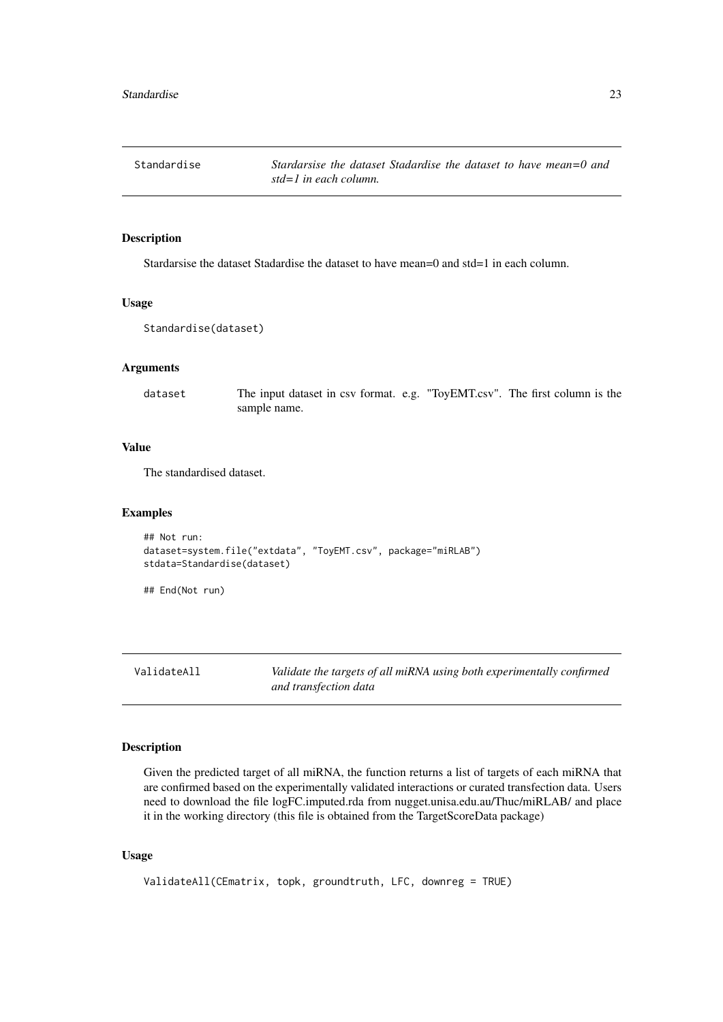<span id="page-22-0"></span>

Stardarsise the dataset Stadardise the dataset to have mean=0 and std=1 in each column.

#### Usage

```
Standardise(dataset)
```
# Arguments

dataset The input dataset in csv format. e.g. "ToyEMT.csv". The first column is the sample name.

# Value

The standardised dataset.

#### Examples

```
## Not run:
dataset=system.file("extdata", "ToyEMT.csv", package="miRLAB")
stdata=Standardise(dataset)
```
## End(Not run)

ValidateAll *Validate the targets of all miRNA using both experimentally confirmed and transfection data*

# Description

Given the predicted target of all miRNA, the function returns a list of targets of each miRNA that are confirmed based on the experimentally validated interactions or curated transfection data. Users need to download the file logFC.imputed.rda from nugget.unisa.edu.au/Thuc/miRLAB/ and place it in the working directory (this file is obtained from the TargetScoreData package)

```
ValidateAll(CEmatrix, topk, groundtruth, LFC, downreg = TRUE)
```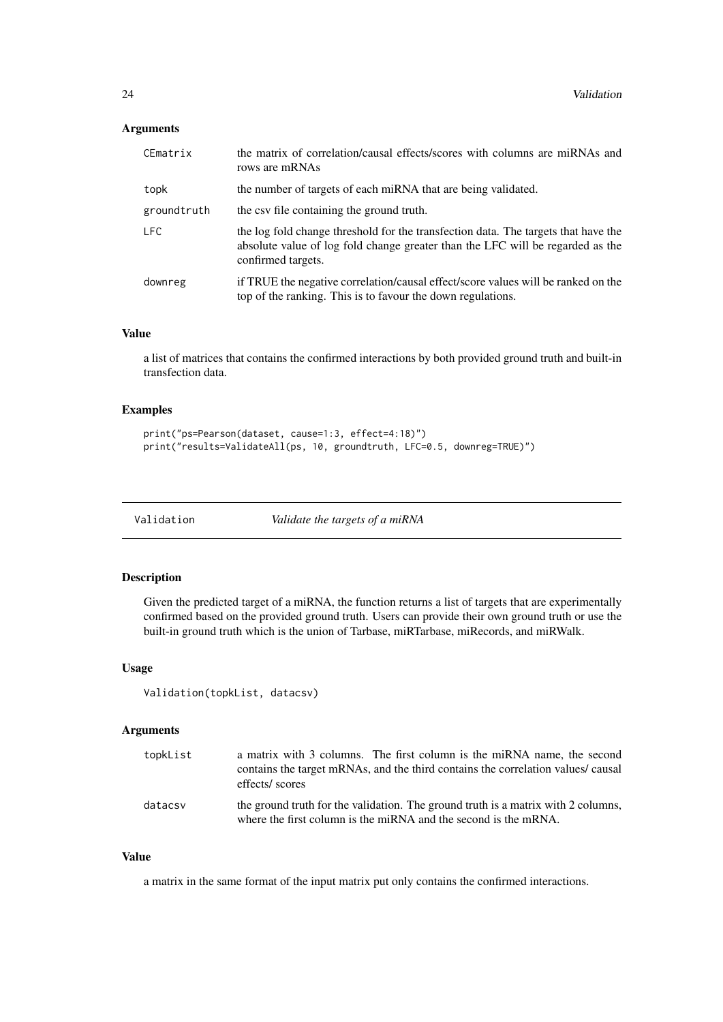# <span id="page-23-0"></span>Arguments

| CEmatrix    | the matrix of correlation/causal effects/scores with columns are miRNAs and<br>rows are mRNAs                                                                                              |
|-------------|--------------------------------------------------------------------------------------------------------------------------------------------------------------------------------------------|
| topk        | the number of targets of each miRNA that are being validated.                                                                                                                              |
| groundtruth | the csv file containing the ground truth.                                                                                                                                                  |
| <b>LFC</b>  | the log fold change threshold for the transfection data. The targets that have the<br>absolute value of log fold change greater than the LFC will be regarded as the<br>confirmed targets. |
| downreg     | if TRUE the negative correlation/causal effect/score values will be ranked on the<br>top of the ranking. This is to favour the down regulations.                                           |

#### Value

a list of matrices that contains the confirmed interactions by both provided ground truth and built-in transfection data.

# Examples

```
print("ps=Pearson(dataset, cause=1:3, effect=4:18)")
print("results=ValidateAll(ps, 10, groundtruth, LFC=0.5, downreg=TRUE)")
```
Validation *Validate the targets of a miRNA*

# Description

Given the predicted target of a miRNA, the function returns a list of targets that are experimentally confirmed based on the provided ground truth. Users can provide their own ground truth or use the built-in ground truth which is the union of Tarbase, miRTarbase, miRecords, and miRWalk.

# Usage

```
Validation(topkList, datacsv)
```
#### Arguments

| topkList | a matrix with 3 columns. The first column is the miRNA name, the second<br>contains the target mRNAs, and the third contains the correlation values/ causal<br>effects/ scores |
|----------|--------------------------------------------------------------------------------------------------------------------------------------------------------------------------------|
| datacsv  | the ground truth for the validation. The ground truth is a matrix with 2 columns,<br>where the first column is the miRNA and the second is the mRNA.                           |

# Value

a matrix in the same format of the input matrix put only contains the confirmed interactions.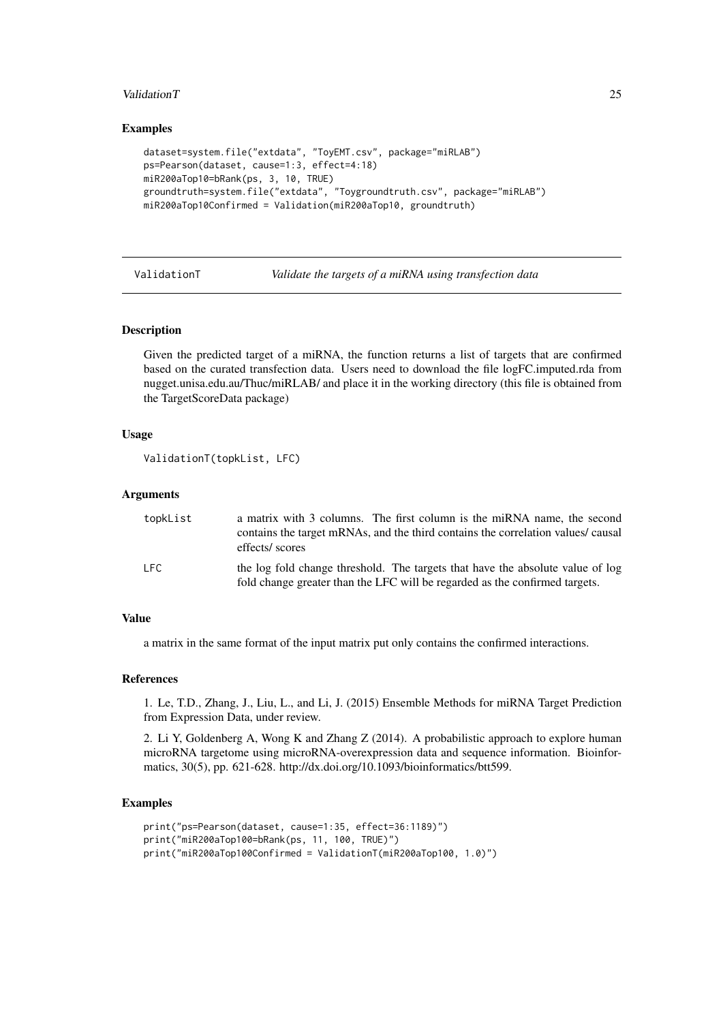#### <span id="page-24-0"></span>Validation T 25

#### Examples

```
dataset=system.file("extdata", "ToyEMT.csv", package="miRLAB")
ps=Pearson(dataset, cause=1:3, effect=4:18)
miR200aTop10=bRank(ps, 3, 10, TRUE)
groundtruth=system.file("extdata", "Toygroundtruth.csv", package="miRLAB")
miR200aTop10Confirmed = Validation(miR200aTop10, groundtruth)
```
ValidationT *Validate the targets of a miRNA using transfection data*

#### Description

Given the predicted target of a miRNA, the function returns a list of targets that are confirmed based on the curated transfection data. Users need to download the file logFC.imputed.rda from nugget.unisa.edu.au/Thuc/miRLAB/ and place it in the working directory (this file is obtained from the TargetScoreData package)

# Usage

```
ValidationT(topkList, LFC)
```
#### Arguments

| topkList | a matrix with 3 columns. The first column is the miRNA name, the second                                                                                       |
|----------|---------------------------------------------------------------------------------------------------------------------------------------------------------------|
|          | contains the target mRNAs, and the third contains the correlation values/ causal                                                                              |
|          | effects/ scores                                                                                                                                               |
| LFC.     | the log fold change threshold. The targets that have the absolute value of log<br>fold change greater than the LFC will be regarded as the confirmed targets. |

#### Value

a matrix in the same format of the input matrix put only contains the confirmed interactions.

#### References

1. Le, T.D., Zhang, J., Liu, L., and Li, J. (2015) Ensemble Methods for miRNA Target Prediction from Expression Data, under review.

2. Li Y, Goldenberg A, Wong K and Zhang Z (2014). A probabilistic approach to explore human microRNA targetome using microRNA-overexpression data and sequence information. Bioinformatics, 30(5), pp. 621-628. http://dx.doi.org/10.1093/bioinformatics/btt599.

```
print("ps=Pearson(dataset, cause=1:35, effect=36:1189)")
print("miR200aTop100=bRank(ps, 11, 100, TRUE)")
print("miR200aTop100Confirmed = ValidationT(miR200aTop100, 1.0)")
```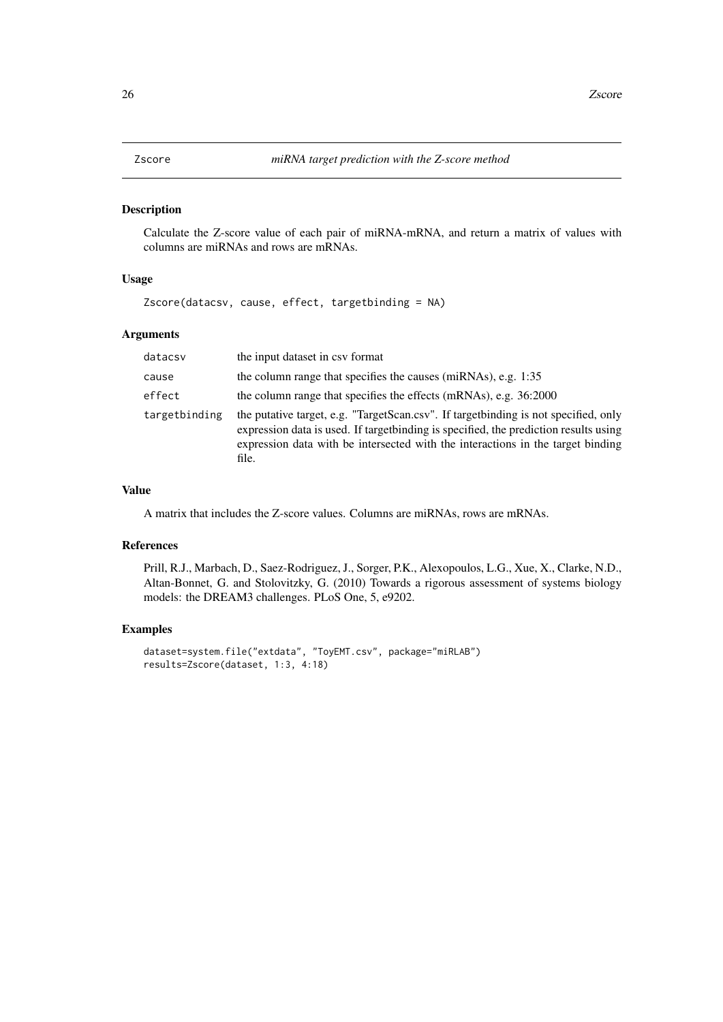<span id="page-25-0"></span>

Calculate the Z-score value of each pair of miRNA-mRNA, and return a matrix of values with columns are miRNAs and rows are mRNAs.

#### Usage

Zscore(datacsv, cause, effect, targetbinding = NA)

# Arguments

| datacsv       | the input dataset in csv format                                                                                                                                                                                                                                           |
|---------------|---------------------------------------------------------------------------------------------------------------------------------------------------------------------------------------------------------------------------------------------------------------------------|
| cause         | the column range that specifies the causes (miRNAs), e.g. 1:35                                                                                                                                                                                                            |
| effect        | the column range that specifies the effects (mRNAs), e.g. 36:2000                                                                                                                                                                                                         |
| targetbinding | the putative target, e.g. "TargetScan.csv". If target binding is not specified, only<br>expression data is used. If target binding is specified, the prediction results using<br>expression data with be intersected with the interactions in the target binding<br>file. |

#### Value

A matrix that includes the Z-score values. Columns are miRNAs, rows are mRNAs.

# References

Prill, R.J., Marbach, D., Saez-Rodriguez, J., Sorger, P.K., Alexopoulos, L.G., Xue, X., Clarke, N.D., Altan-Bonnet, G. and Stolovitzky, G. (2010) Towards a rigorous assessment of systems biology models: the DREAM3 challenges. PLoS One, 5, e9202.

```
dataset=system.file("extdata", "ToyEMT.csv", package="miRLAB")
results=Zscore(dataset, 1:3, 4:18)
```